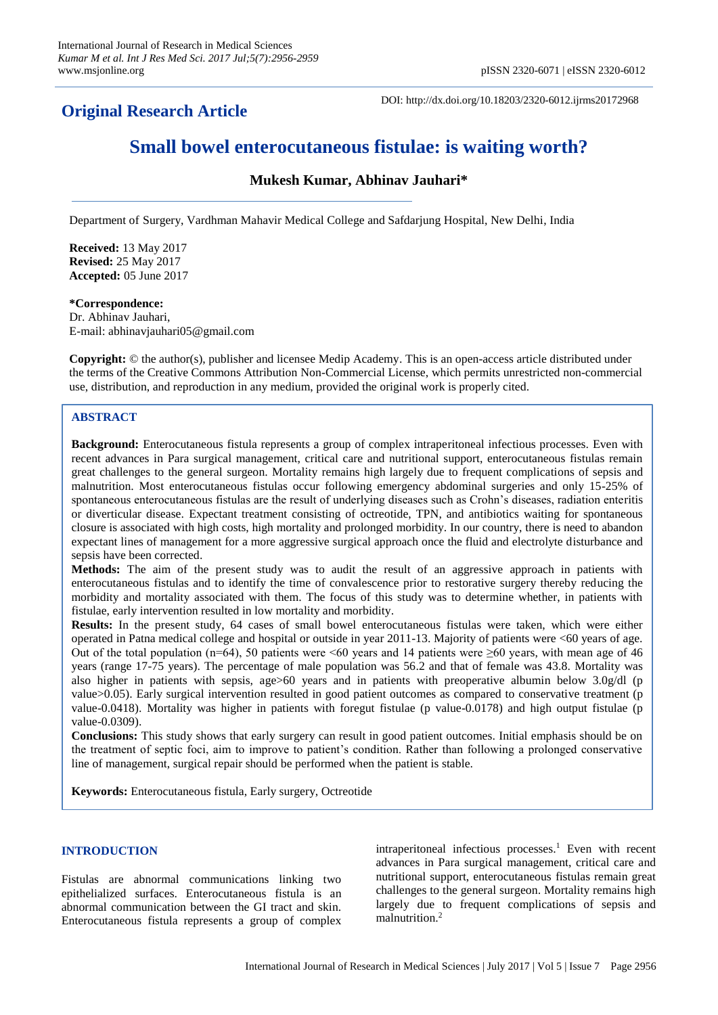## **Original Research Article**

DOI: http://dx.doi.org/10.18203/2320-6012.ijrms20172968

# **Small bowel enterocutaneous fistulae: is waiting worth?**

## **Mukesh Kumar, Abhinav Jauhari\***

Department of Surgery, Vardhman Mahavir Medical College and Safdarjung Hospital, New Delhi, India

**Received:** 13 May 2017 **Revised:** 25 May 2017 **Accepted:** 05 June 2017

#### **\*Correspondence:**

Dr. Abhinav Jauhari, E-mail: abhinavjauhari05@gmail.com

**Copyright:** © the author(s), publisher and licensee Medip Academy. This is an open-access article distributed under the terms of the Creative Commons Attribution Non-Commercial License, which permits unrestricted non-commercial use, distribution, and reproduction in any medium, provided the original work is properly cited.

## **ABSTRACT**

**Background:** Enterocutaneous fistula represents a group of complex intraperitoneal infectious processes. Even with recent advances in Para surgical management, critical care and nutritional support, enterocutaneous fistulas remain great challenges to the general surgeon. Mortality remains high largely due to frequent complications of sepsis and malnutrition. Most enterocutaneous fistulas occur following emergency abdominal surgeries and only 15-25% of spontaneous enterocutaneous fistulas are the result of underlying diseases such as Crohn's diseases, radiation enteritis or diverticular disease. Expectant treatment consisting of octreotide, TPN, and antibiotics waiting for spontaneous closure is associated with high costs, high mortality and prolonged morbidity. In our country, there is need to abandon expectant lines of management for a more aggressive surgical approach once the fluid and electrolyte disturbance and sepsis have been corrected.

**Methods:** The aim of the present study was to audit the result of an aggressive approach in patients with enterocutaneous fistulas and to identify the time of convalescence prior to restorative surgery thereby reducing the morbidity and mortality associated with them. The focus of this study was to determine whether, in patients with fistulae, early intervention resulted in low mortality and morbidity.

**Results:** In the present study, 64 cases of small bowel enterocutaneous fistulas were taken, which were either operated in Patna medical college and hospital or outside in year 2011-13. Majority of patients were <60 years of age. Out of the total population (n=64), 50 patients were <60 years and 14 patients were  $\geq 60$  years, with mean age of 46 years (range 17-75 years). The percentage of male population was 56.2 and that of female was 43.8. Mortality was also higher in patients with sepsis, age>60 years and in patients with preoperative albumin below 3.0g/dl (p value>0.05). Early surgical intervention resulted in good patient outcomes as compared to conservative treatment (p value-0.0418). Mortality was higher in patients with foregut fistulae (p value-0.0178) and high output fistulae (p value-0.0309).

**Conclusions:** This study shows that early surgery can result in good patient outcomes. Initial emphasis should be on the treatment of septic foci, aim to improve to patient's condition. Rather than following a prolonged conservative line of management, surgical repair should be performed when the patient is stable.

**Keywords:** Enterocutaneous fistula, Early surgery, Octreotide

### **INTRODUCTION**

Fistulas are abnormal communications linking two epithelialized surfaces. Enterocutaneous fistula is an abnormal communication between the GI tract and skin. Enterocutaneous fistula represents a group of complex

intraperitoneal infectious processes. <sup>1</sup> Even with recent advances in Para surgical management, critical care and nutritional support, enterocutaneous fistulas remain great challenges to the general surgeon. Mortality remains high largely due to frequent complications of sepsis and malnutrition. 2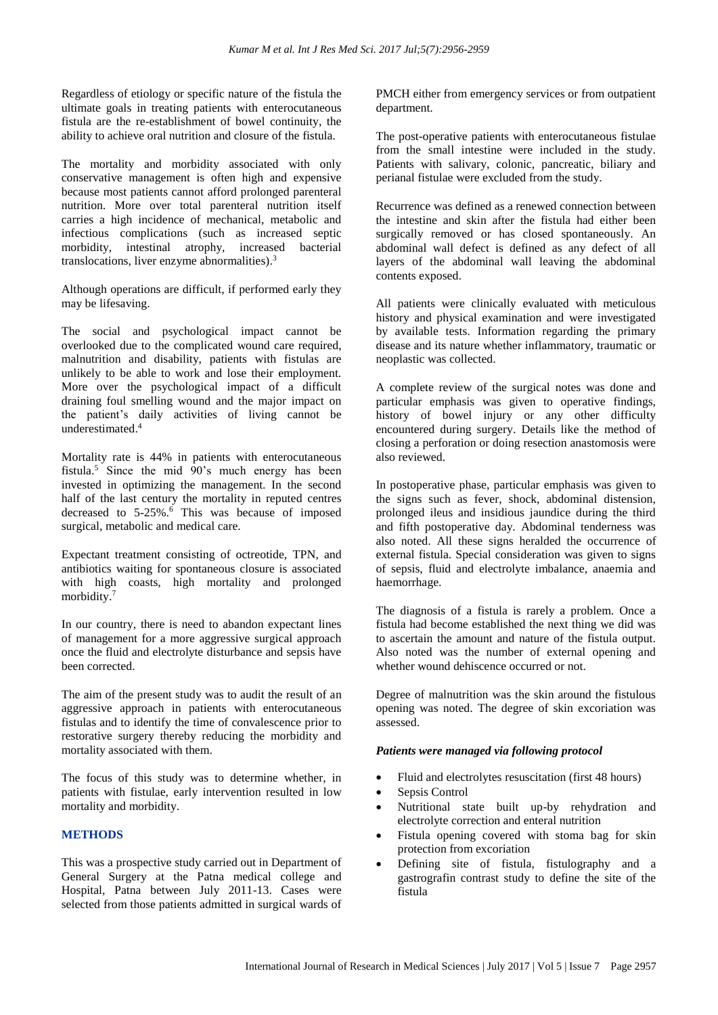Regardless of etiology or specific nature of the fistula the ultimate goals in treating patients with enterocutaneous fistula are the re-establishment of bowel continuity, the ability to achieve oral nutrition and closure of the fistula.

The mortality and morbidity associated with only conservative management is often high and expensive because most patients cannot afford prolonged parenteral nutrition. More over total parenteral nutrition itself carries a high incidence of mechanical, metabolic and infectious complications (such as increased septic morbidity, intestinal atrophy, increased bacterial translocations, liver enzyme abnormalities). 3

Although operations are difficult, if performed early they may be lifesaving.

The social and psychological impact cannot be overlooked due to the complicated wound care required, malnutrition and disability, patients with fistulas are unlikely to be able to work and lose their employment. More over the psychological impact of a difficult draining foul smelling wound and the major impact on the patient's daily activities of living cannot be underestimated. 4

Mortality rate is 44% in patients with enterocutaneous fistula. <sup>5</sup> Since the mid 90's much energy has been invested in optimizing the management. In the second half of the last century the mortality in reputed centres decreased to 5-25%. <sup>6</sup> This was because of imposed surgical, metabolic and medical care.

Expectant treatment consisting of octreotide, TPN, and antibiotics waiting for spontaneous closure is associated with high coasts, high mortality and prolonged morbidity. 7

In our country, there is need to abandon expectant lines of management for a more aggressive surgical approach once the fluid and electrolyte disturbance and sepsis have been corrected.

The aim of the present study was to audit the result of an aggressive approach in patients with enterocutaneous fistulas and to identify the time of convalescence prior to restorative surgery thereby reducing the morbidity and mortality associated with them.

The focus of this study was to determine whether, in patients with fistulae, early intervention resulted in low mortality and morbidity.

## **METHODS**

This was a prospective study carried out in Department of General Surgery at the Patna medical college and Hospital, Patna between July 2011-13. Cases were selected from those patients admitted in surgical wards of PMCH either from emergency services or from outpatient department.

The post-operative patients with enterocutaneous fistulae from the small intestine were included in the study. Patients with salivary, colonic, pancreatic, biliary and perianal fistulae were excluded from the study.

Recurrence was defined as a renewed connection between the intestine and skin after the fistula had either been surgically removed or has closed spontaneously. An abdominal wall defect is defined as any defect of all layers of the abdominal wall leaving the abdominal contents exposed.

All patients were clinically evaluated with meticulous history and physical examination and were investigated by available tests. Information regarding the primary disease and its nature whether inflammatory, traumatic or neoplastic was collected.

A complete review of the surgical notes was done and particular emphasis was given to operative findings, history of bowel injury or any other difficulty encountered during surgery. Details like the method of closing a perforation or doing resection anastomosis were also reviewed.

In postoperative phase, particular emphasis was given to the signs such as fever, shock, abdominal distension, prolonged ileus and insidious jaundice during the third and fifth postoperative day. Abdominal tenderness was also noted. All these signs heralded the occurrence of external fistula. Special consideration was given to signs of sepsis, fluid and electrolyte imbalance, anaemia and haemorrhage.

The diagnosis of a fistula is rarely a problem. Once a fistula had become established the next thing we did was to ascertain the amount and nature of the fistula output. Also noted was the number of external opening and whether wound dehiscence occurred or not.

Degree of malnutrition was the skin around the fistulous opening was noted. The degree of skin excoriation was assessed.

#### *Patients were managed via following protocol*

- Fluid and electrolytes resuscitation (first 48 hours)
- Sepsis Control
- Nutritional state built up-by rehydration and electrolyte correction and enteral nutrition
- Fistula opening covered with stoma bag for skin protection from excoriation
- Defining site of fistula, fistulography and a gastrografin contrast study to define the site of the fistula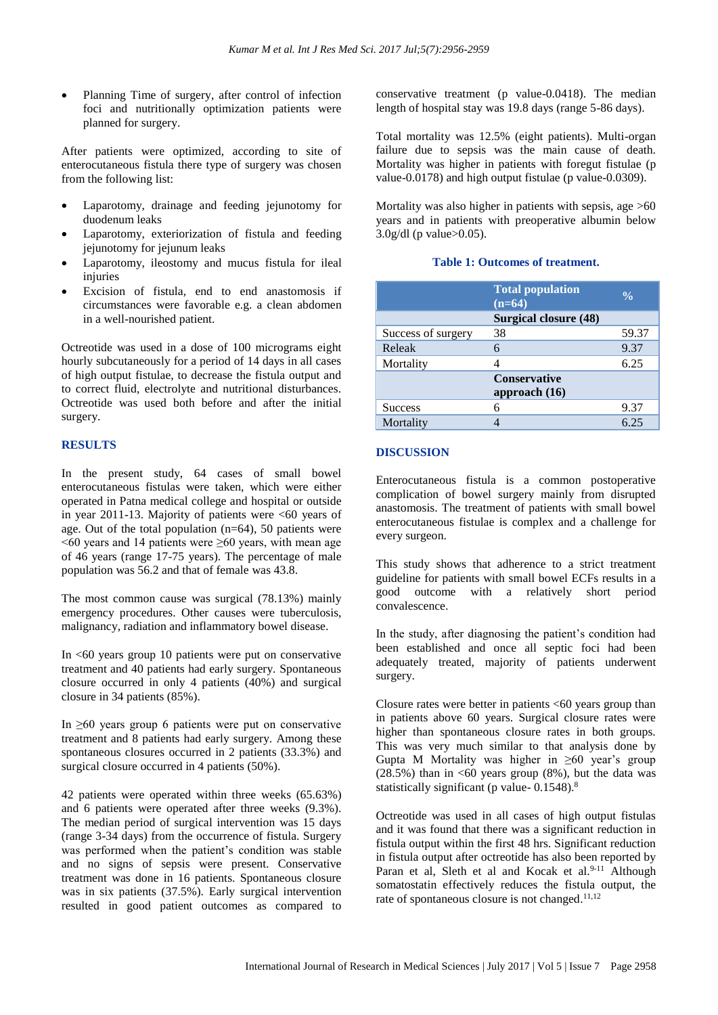• Planning Time of surgery, after control of infection foci and nutritionally optimization patients were planned for surgery.

After patients were optimized, according to site of enterocutaneous fistula there type of surgery was chosen from the following list:

- Laparotomy, drainage and feeding jejunotomy for duodenum leaks
- Laparotomy, exteriorization of fistula and feeding jejunotomy for jejunum leaks
- Laparotomy, ileostomy and mucus fistula for ileal injuries
- Excision of fistula, end to end anastomosis if circumstances were favorable e.g. a clean abdomen in a well-nourished patient.

Octreotide was used in a dose of 100 micrograms eight hourly subcutaneously for a period of 14 days in all cases of high output fistulae, to decrease the fistula output and to correct fluid, electrolyte and nutritional disturbances. Octreotide was used both before and after the initial surgery.

## **RESULTS**

In the present study, 64 cases of small bowel enterocutaneous fistulas were taken, which were either operated in Patna medical college and hospital or outside in year 2011-13. Majority of patients were <60 years of age. Out of the total population (n=64), 50 patients were  $<60$  years and 14 patients were  $\geq 60$  years, with mean age of 46 years (range 17-75 years). The percentage of male population was 56.2 and that of female was 43.8.

The most common cause was surgical (78.13%) mainly emergency procedures. Other causes were tuberculosis, malignancy, radiation and inflammatory bowel disease.

In  $<60$  years group 10 patients were put on conservative treatment and 40 patients had early surgery. Spontaneous closure occurred in only 4 patients (40%) and surgical closure in 34 patients (85%).

In  $\geq 60$  years group 6 patients were put on conservative treatment and 8 patients had early surgery. Among these spontaneous closures occurred in 2 patients (33.3%) and surgical closure occurred in 4 patients (50%).

42 patients were operated within three weeks (65.63%) and 6 patients were operated after three weeks (9.3%). The median period of surgical intervention was 15 days (range 3-34 days) from the occurrence of fistula. Surgery was performed when the patient's condition was stable and no signs of sepsis were present. Conservative treatment was done in 16 patients. Spontaneous closure was in six patients (37.5%). Early surgical intervention resulted in good patient outcomes as compared to conservative treatment (p value-0.0418). The median length of hospital stay was 19.8 days (range 5-86 days).

Total mortality was 12.5% (eight patients). Multi-organ failure due to sepsis was the main cause of death. Mortality was higher in patients with foregut fistulae (p value-0.0178) and high output fistulae (p value-0.0309).

Mortality was also higher in patients with sepsis, age  $>60$ years and in patients with preoperative albumin below 3.0g/dl (p value>0.05).

## **Table 1: Outcomes of treatment.**

|                    | <b>Total population</b><br>$(n=64)$ | $\frac{0}{\alpha}$ |
|--------------------|-------------------------------------|--------------------|
|                    | Surgical closure (48)               |                    |
| Success of surgery | 38                                  | 59.37              |
| Releak             | 6                                   | 9.37               |
| Mortality          |                                     | 6.25               |
|                    | <b>Conservative</b>                 |                    |
|                    | approach $(16)$                     |                    |
| <b>Success</b>     | 6                                   | 9.37               |
| Mortality          |                                     | 6.25               |

## **DISCUSSION**

Enterocutaneous fistula is a common postoperative complication of bowel surgery mainly from disrupted anastomosis. The treatment of patients with small bowel enterocutaneous fistulae is complex and a challenge for every surgeon.

This study shows that adherence to a strict treatment guideline for patients with small bowel ECFs results in a good outcome with a relatively short period convalescence.

In the study, after diagnosing the patient's condition had been established and once all septic foci had been adequately treated, majority of patients underwent surgery.

Closure rates were better in patients  $<60$  years group than in patients above 60 years. Surgical closure rates were higher than spontaneous closure rates in both groups. This was very much similar to that analysis done by Gupta M Mortality was higher in  $\geq 60$  year's group  $(28.5\%)$  than in <60 years group (8%), but the data was statistically significant (p value- 0.1548).<sup>8</sup>

Octreotide was used in all cases of high output fistulas and it was found that there was a significant reduction in fistula output within the first 48 hrs. Significant reduction in fistula output after octreotide has also been reported by Paran et al, Sleth et al and Kocak et al.<sup>9-11</sup> Although somatostatin effectively reduces the fistula output, the rate of spontaneous closure is not changed.<sup>11,12</sup>